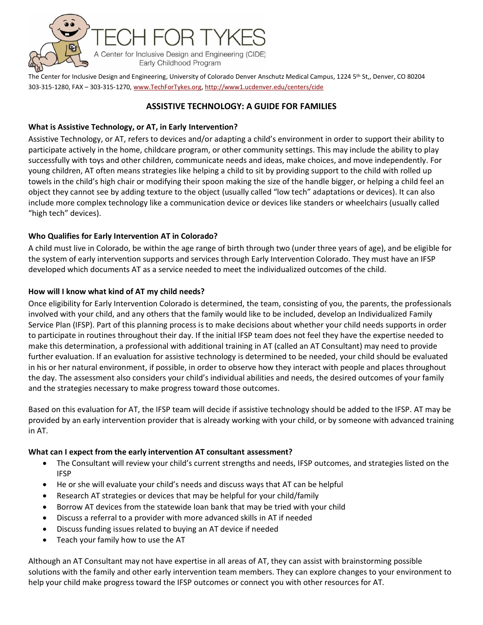

The Center for Inclusive Design and Engineering, University of Colorado Denver Anschutz Medical Campus, 1224 5th St,, Denver, CO 80204 303-315-1280, FAX – 303-315-1270[, www.TechForTykes.org,](http://www.techfortykes.org/)<http://www1.ucdenver.edu/centers/cide>

## **[ASSISTIVE TECHNOLOGY: A GUIDE FOR FA](http://www1.ucdenver.edu/centers/cide)MILIES**

### **What is Assistive Technology, or AT, in Early Intervention?**

Assistive Technology, or AT, refers to devices and/or adapting a child's environment in order to support their ability to participate actively in the home, childcare program, or other community settings. This may include the ability to play successfully with toys and other children, communicate needs and ideas, make choices, and move independently. For young children, AT often means strategies like helping a child to sit by providing support to the child with rolled up towels in the child's high chair or modifying their spoon making the size of the handle bigger, or helping a child feel an object they cannot see by adding texture to the object (usually called "low tech" adaptations or devices). It can also include more complex technology like a communication device or devices like standers or wheelchairs (usually called "high tech" devices).

### **Who Qualifies for Early Intervention AT in Colorado?**

A child must live in Colorado, be within the age range of birth through two (under three years of age), and be eligible for the system of early intervention supports and services through Early Intervention Colorado. They must have an IFSP developed which documents AT as a service needed to meet the individualized outcomes of the child.

#### **How will I know what kind of AT my child needs?**

Once eligibility for Early Intervention Colorado is determined, the team, consisting of you, the parents, the professionals involved with your child, and any others that the family would like to be included, develop an Individualized Family Service Plan (IFSP). Part of this planning process is to make decisions about whether your child needs supports in order to participate in routines throughout their day. If the initial IFSP team does not feel they have the expertise needed to make this determination, a professional with additional training in AT (called an AT Consultant) may need to provide further evaluation. If an evaluation for assistive technology is determined to be needed, your child should be evaluated in his or her natural environment, if possible, in order to observe how they interact with people and places throughout the day. The assessment also considers your child's individual abilities and needs, the desired outcomes of your family and the strategies necessary to make progress toward those outcomes.

Based on this evaluation for AT, the IFSP team will decide if assistive technology should be added to the IFSP. AT may be provided by an early intervention provider that is already working with your child, or by someone with advanced training in AT.

#### **What can I expect from the early intervention AT consultant assessment?**

- The Consultant will review your child's current strengths and needs, IFSP outcomes, and strategies listed on the IFSP
- He or she will evaluate your child's needs and discuss ways that AT can be helpful
- Research AT strategies or devices that may be helpful for your child/family
- Borrow AT devices from the statewide loan bank that may be tried with your child
- Discuss a referral to a provider with more advanced skills in AT if needed
- Discuss funding issues related to buying an AT device if needed
- Teach your family how to use the AT

Although an AT Consultant may not have expertise in all areas of AT, they can assist with brainstorming possible solutions with the family and other early intervention team members. They can explore changes to your environment to help your child make progress toward the IFSP outcomes or connect you with other resources for AT.